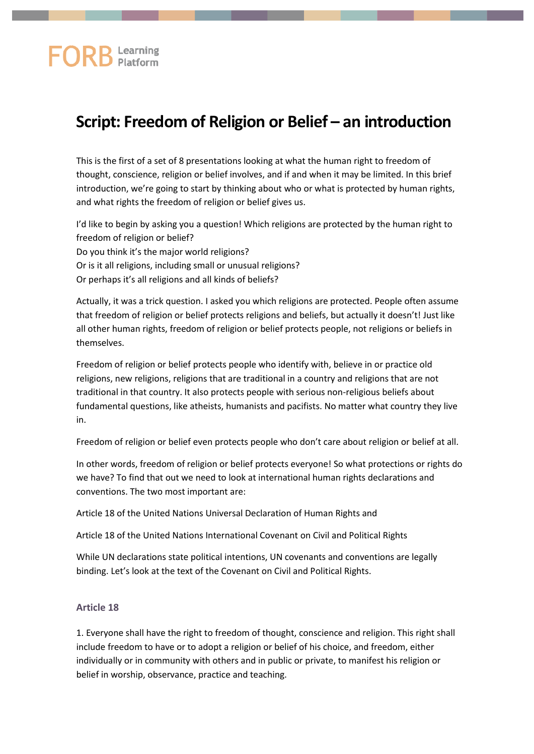## **FORB** Learning

## **Script: Freedom of Religion or Belief – an introduction**

This is the first of a set of 8 presentations looking at what the human right to freedom of thought, conscience, religion or belief involves, and if and when it may be limited. In this brief introduction, we're going to start by thinking about who or what is protected by human rights, and what rights the freedom of religion or belief gives us.

I'd like to begin by asking you a question! Which religions are protected by the human right to freedom of religion or belief? Do you think it's the major world religions? Or is it all religions, including small or unusual religions? Or perhaps it's all religions and all kinds of beliefs?

Actually, it was a trick question. I asked you which religions are protected. People often assume that freedom of religion or belief protects religions and beliefs, but actually it doesn't! Just like all other human rights, freedom of religion or belief protects people, not religions or beliefs in themselves.

Freedom of religion or belief protects people who identify with, believe in or practice old religions, new religions, religions that are traditional in a country and religions that are not traditional in that country. It also protects people with serious non-religious beliefs about fundamental questions, like atheists, humanists and pacifists. No matter what country they live in.

Freedom of religion or belief even protects people who don't care about religion or belief at all.

In other words, freedom of religion or belief protects everyone! So what protections or rights do we have? To find that out we need to look at international human rights declarations and conventions. The two most important are:

Article 18 of the United Nations Universal Declaration of Human Rights and

Article 18 of the United Nations International Covenant on Civil and Political Rights

While UN declarations state political intentions, UN covenants and conventions are legally binding. Let's look at the text of the Covenant on Civil and Political Rights.

## **Article 18**

1. Everyone shall have the right to freedom of thought, conscience and religion. This right shall include freedom to have or to adopt a religion or belief of his choice, and freedom, either individually or in community with others and in public or private, to manifest his religion or belief in worship, observance, practice and teaching.